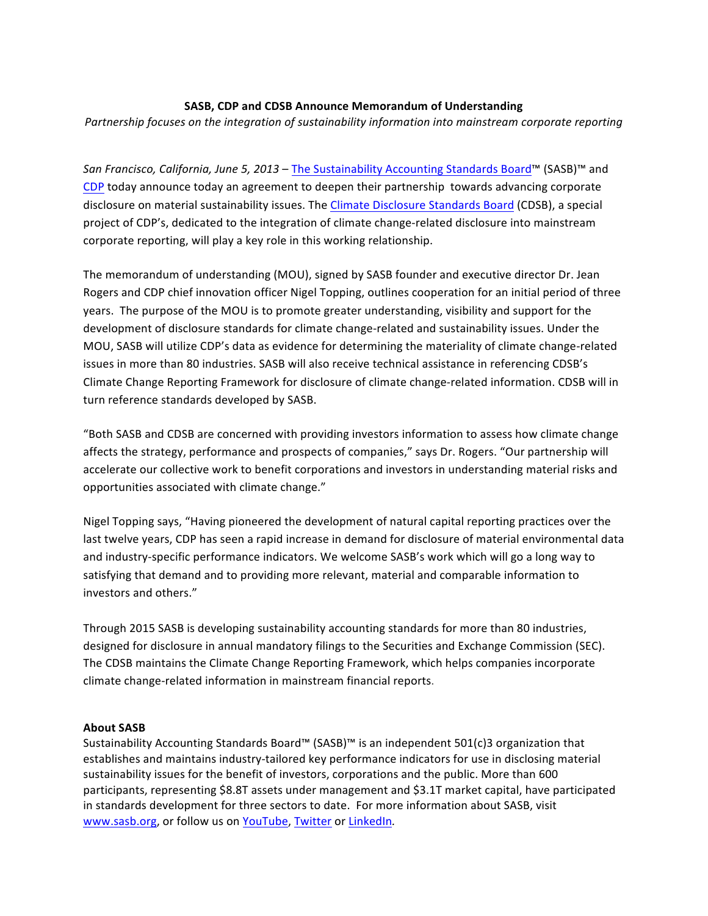## **SASB, CDP and CDSB Announce Memorandum of Understanding**

Partnership focuses on the integration of sustainability information into mainstream corporate reporting

San Francisco, California, June 5, 2013 – The Sustainability Accounting Standards Board™ (SASB)™ and CDP today announce today an agreement to deepen their partnership towards advancing corporate disclosure on material sustainability issues. The Climate Disclosure Standards Board (CDSB), a special project of CDP's, dedicated to the integration of climate change-related disclosure into mainstream corporate reporting, will play a key role in this working relationship.

The memorandum of understanding (MOU), signed by SASB founder and executive director Dr. Jean Rogers and CDP chief innovation officer Nigel Topping, outlines cooperation for an initial period of three years. The purpose of the MOU is to promote greater understanding, visibility and support for the development of disclosure standards for climate change-related and sustainability issues. Under the MOU, SASB will utilize CDP's data as evidence for determining the materiality of climate change-related issues in more than 80 industries. SASB will also receive technical assistance in referencing CDSB's Climate Change Reporting Framework for disclosure of climate change-related information. CDSB will in turn reference standards developed by SASB.

"Both SASB and CDSB are concerned with providing investors information to assess how climate change affects the strategy, performance and prospects of companies," says Dr. Rogers. "Our partnership will accelerate our collective work to benefit corporations and investors in understanding material risks and opportunities associated with climate change."

Nigel Topping says, "Having pioneered the development of natural capital reporting practices over the last twelve years, CDP has seen a rapid increase in demand for disclosure of material environmental data and industry-specific performance indicators. We welcome SASB's work which will go a long way to satisfying that demand and to providing more relevant, material and comparable information to investors and others."

Through 2015 SASB is developing sustainability accounting standards for more than 80 industries, designed for disclosure in annual mandatory filings to the Securities and Exchange Commission (SEC). The CDSB maintains the Climate Change Reporting Framework, which helps companies incorporate climate change-related information in mainstream financial reports.

## **About SASB**

Sustainability Accounting Standards Board™ (SASB)<sup>™</sup> is an independent  $501(c)3$  organization that establishes and maintains industry-tailored key performance indicators for use in disclosing material sustainability issues for the benefit of investors, corporations and the public. More than 600 participants, representing \$8.8T assets under management and \$3.1T market capital, have participated in standards development for three sectors to date. For more information about SASB, visit www.sasb.org, or follow us on YouTube, Twitter or LinkedIn.